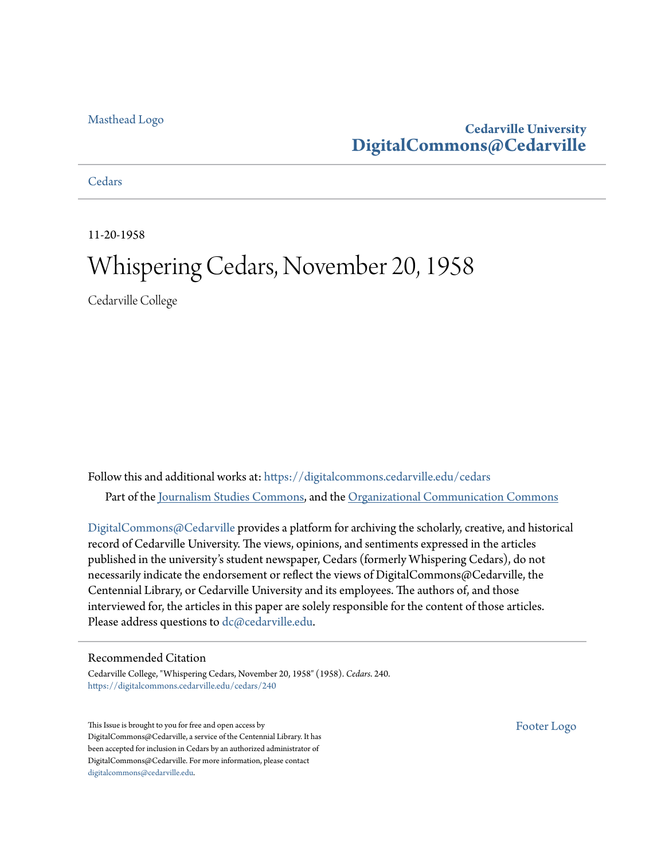#### [Masthead Logo](http://www.cedarville.edu/?utm_source=digitalcommons.cedarville.edu%2Fcedars%2F240&utm_medium=PDF&utm_campaign=PDFCoverPages)

# **Cedarville University [DigitalCommons@Cedarville](https://digitalcommons.cedarville.edu?utm_source=digitalcommons.cedarville.edu%2Fcedars%2F240&utm_medium=PDF&utm_campaign=PDFCoverPages)**

#### **[Cedars](https://digitalcommons.cedarville.edu/cedars?utm_source=digitalcommons.cedarville.edu%2Fcedars%2F240&utm_medium=PDF&utm_campaign=PDFCoverPages)**

11-20-1958

# Whispering Cedars, November 20, 1958

Cedarville College

Follow this and additional works at: [https://digitalcommons.cedarville.edu/cedars](https://digitalcommons.cedarville.edu/cedars?utm_source=digitalcommons.cedarville.edu%2Fcedars%2F240&utm_medium=PDF&utm_campaign=PDFCoverPages) Part of the [Journalism Studies Commons](http://network.bepress.com/hgg/discipline/333?utm_source=digitalcommons.cedarville.edu%2Fcedars%2F240&utm_medium=PDF&utm_campaign=PDFCoverPages), and the [Organizational Communication Commons](http://network.bepress.com/hgg/discipline/335?utm_source=digitalcommons.cedarville.edu%2Fcedars%2F240&utm_medium=PDF&utm_campaign=PDFCoverPages)

[DigitalCommons@Cedarville](http://digitalcommons.cedarville.edu/) provides a platform for archiving the scholarly, creative, and historical record of Cedarville University. The views, opinions, and sentiments expressed in the articles published in the university's student newspaper, Cedars (formerly Whispering Cedars), do not necessarily indicate the endorsement or reflect the views of DigitalCommons@Cedarville, the Centennial Library, or Cedarville University and its employees. The authors of, and those interviewed for, the articles in this paper are solely responsible for the content of those articles. Please address questions to [dc@cedarville.edu.](mailto:dc@cedarville.edu)

#### Recommended Citation

Cedarville College, "Whispering Cedars, November 20, 1958" (1958). *Cedars*. 240. [https://digitalcommons.cedarville.edu/cedars/240](https://digitalcommons.cedarville.edu/cedars/240?utm_source=digitalcommons.cedarville.edu%2Fcedars%2F240&utm_medium=PDF&utm_campaign=PDFCoverPages)

This Issue is brought to you for free and open access by DigitalCommons@Cedarville, a service of the Centennial Library. It has been accepted for inclusion in Cedars by an authorized administrator of DigitalCommons@Cedarville. For more information, please contact [digitalcommons@cedarville.edu](mailto:digitalcommons@cedarville.edu).

[Footer Logo](http://www.cedarville.edu/Academics/Library.aspx?utm_source=digitalcommons.cedarville.edu%2Fcedars%2F240&utm_medium=PDF&utm_campaign=PDFCoverPages)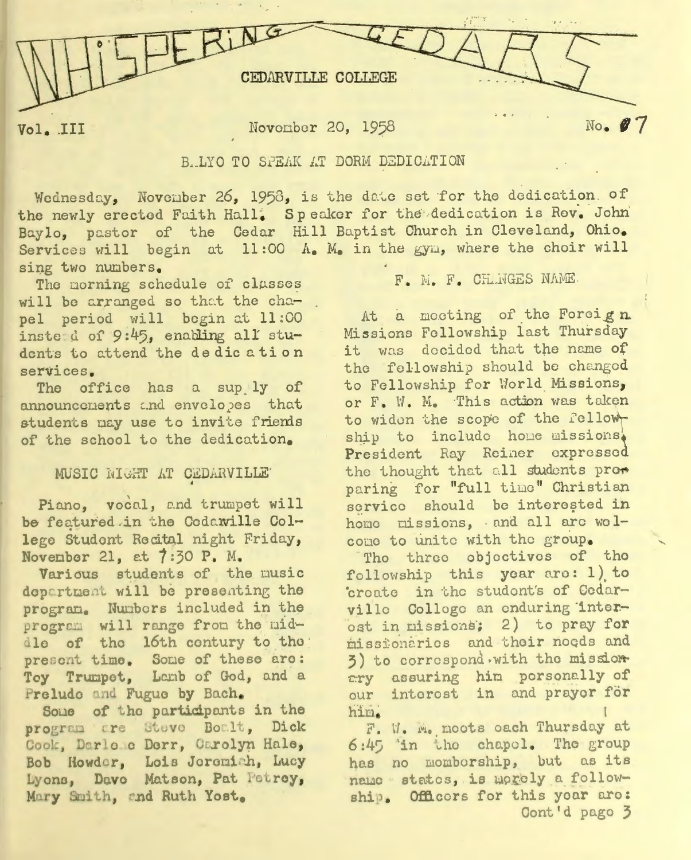

Vol. III

November 20, 1958

 $No. 97$ 

## B. LYO TO SPEAK AT DORM DEDICATION

Wednesday, November 26, 1958, is the date set for the dedication. of the newly erected Faith Hall. Speaker for the dedication is Rev. John Baylo, pastor of the Cedar Hill Baptist Church in Cleveland, Ohio. Services will begin at 11:00 A. M. in the gym, where the choir will sing two numbers.

The norning schedule of classes will be arranged so that the chapel period will begin at 11:00 instead of 9:45, enabling all students to attend the dedication services.

The office has a sup ly of announcements and envelopes that students may use to invite friends of the school to the dedication.

## MUSIC NIGHT AT CEDARVILLE

Piano, vocal, and trumpet will be featured in the Cedawille College Student Recital night Friday, November 21, at 7:30 P. M.

Various students of the music department will be presenting the program. Numbers included in the program will range from the middle of the 16th century to the present time. Some of these are: Toy Trumpet, Lamb of God, and a Prelude and Fugue by Bach.

Some of the participants in the program are Steve Boalt, Dick Cook, Darle c Derr, Carolyn Hale, Bob Howder, Lois Jeremich, Lucy Lyons, Davo Matson, Pat Petrey, Mary Smith, and Ruth Yost.

## F. M. F. CH.NGES NAME.

At a meeting of the Foreign Missions Fellowship last Thursday it was decided that the name of the fellowship should be changed to Fellowship for World Missions, or F. W. M. This action was taken to widen the scope of the fellowship to include home missions. President Ray Reiner expressed the thought that all students prom paring for "full time" Christian service should be interested in home missions, and all are welcome to unite with the group.

Tho three objectives of the followship this year are: 1) to 'create in the student's of Cedarville Colloge an enduring interost in missions; 2) to pray for missionaries and their needs and 3) to correspond with the missionery assuring him porsonally of our interest in and prayer för him.

F. W. M. moots oach Thursday at 6:45 'in the chapel. The group has no momborship, but as its name states, is morely a followship. Officers for this year are: Cont'd pago 3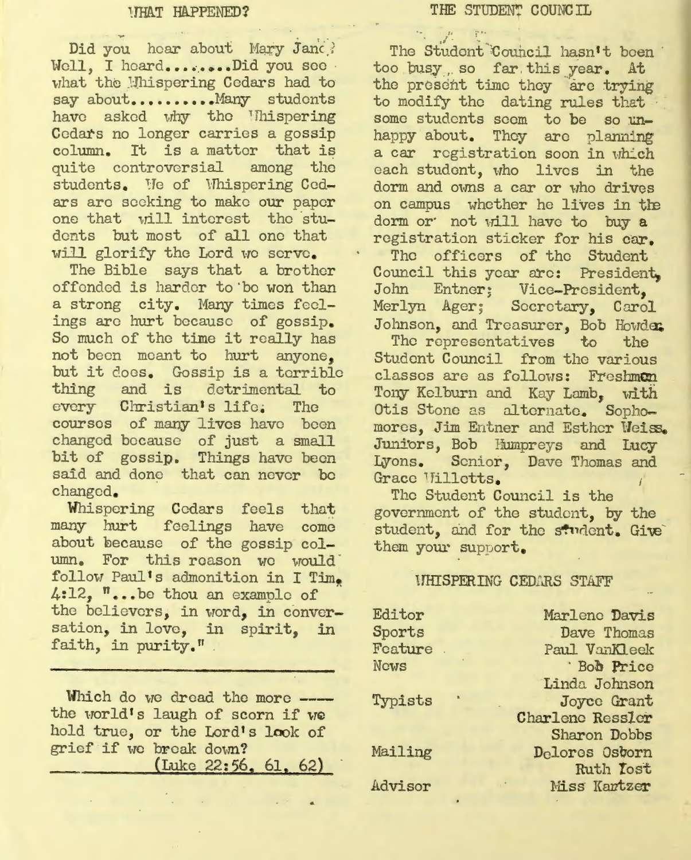Did you hoar about Mary Jan() Well, I hoard........Did you see what the Whispering Cedars had to say about......... Many students have asked why the Inispering Cedars no longer carries a gossip column. It is a matter that is quite controversial among the students. We of Whispering Cedars are seeking to make our paper one that will interest the students but most of all ono that will glorify the Lord we serve.

The Bible says that a brother offondod is harder to 'bo won than a strong city. Many times feelings are hurt because of gossip. So much of the time it really has not beon meant to hurt anyone, but it coos. Gossip is a terrible thing and is detrimental to every Christian's life. The courses of many lives have been changed because of just a small bit of gossip. Things have been said and done that can never be changed.

Whispering Cedars feels that many hurt feelings have come about because of the gossip column. For this reason we would follow Paul's admonition in I Tim. 4:12, "... be thou an example of the believers, in word, in conversation, in love, in spirit, in faith, in purity."

Which do we dread the more --the world's laugh of scorn if we hold truo, or the Lord's look of grief if we break down? (Luke 22:56, 61, 62) ,,

. .,' . .. The Student Council hasn't been too busy so far this year. At the present time they are trying to modify the dating rules that some students seem to be so unhappy about. They are planning a car registration soon in which each student, who lives in the dorm and owns a car or who drives on campus whether he lives in the dorm or not will have to buy a registration sticker for his car. The officers of the Student Council this year are: President, John Entner; Vice-President, Merlyn Ager; Secretary, Carol Johnson, and Treasurer, Bob Howder. The representatives to the Student Council from the various classes are as follows: Freshmon

Tony Kelburn and Kay Lamb, with Otis Stone as alternate. Sophomores, Jim Entner and Esther Weiss. Juniors, Bob Humpreys and Lucy Lyons. Senior, Dave Thomas and Grace *Iillotts*.

Tho Student Council is the government of the student, by the student, and for the student. Give them your support.

## **WHISPERING CEDARS STAFF**

Editor Sports Feature. Nows Typists Mailing .Advisor Marlene Davi<sup>s</sup> Dave Thomas Paul VanKleek · Bob. Price Linda Johnson Joyce Grant Charlene Ressler Sharon Dobbs Delores Ostorn Ruth Lost Miss Kartzer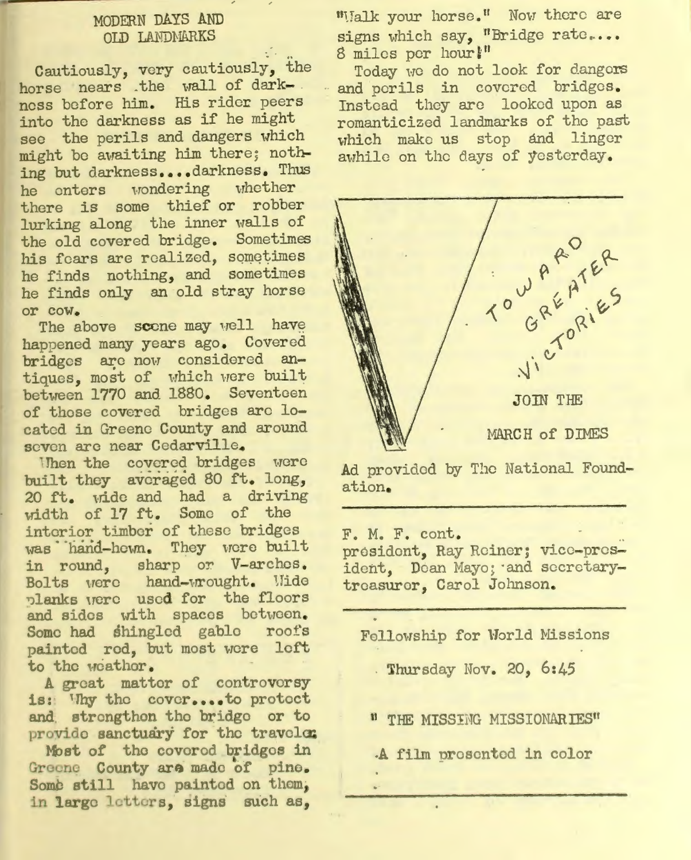## MODERN DAYS AND OLD LANDMARKS

Cautiously, very cautiously, the horse nears the wall of darkness before him. His rider peers into the darkness as if he might see the perils and dangers which might be awaiting him there; nothing but darkness....darkness. Thus he enters wondering whether there is some thief or robber lurking along the inner walls of the old covered bridge. Sometimes his fears are realized, sometimes he finds nothing, and sometimes he finds only an old stray horse or cow.

The above scene may well have happened many years ago. Covered bridges are now considered antiques, most of which were built between 1770 and 1880. Seventeen of those covered bridges are located in Greene County and around seven are near Cedarville.

Then the covered bridges were built they averaged 80 ft. long, 20 ft. wide and had a driving width of 17 ft. Some of the interior timber of these bridges was hand-hewn. They were built in round, sharp or V-arches. Bolts were hand-wrought. Wide planks were used for the floors and sides with spaces between. Some had shingled gable roofs painted rod, but most were left to the weather.

A great matter of controversy is: Thy the cover....to protect and strengthen the bridge or to provide sanctuary for the travele:

Most of the covered bridges in Greene County are made of pine. Some still have painted on them, in large letters, signs such as,

"Malk your horse." Now there are signs which say, "Bridge rate.... 8 miles per hour!"

Today we do not look for dangers and perils in covered bridges. Instead they are looked upon as romanticized landmarks of the past which make us stop and linger awhile on the days of yesterday.



Ad provided by The National Foundation.

F. M. F. cont.

president, Ray Reiner; vice-president, Dean Mayo; and secretarytreasurer, Carol Johnson.

Fellowship for World Missions

. Thursday Nov. 20, 6:45

" THE MISSING MISSIONARIES"

A film prosented in color